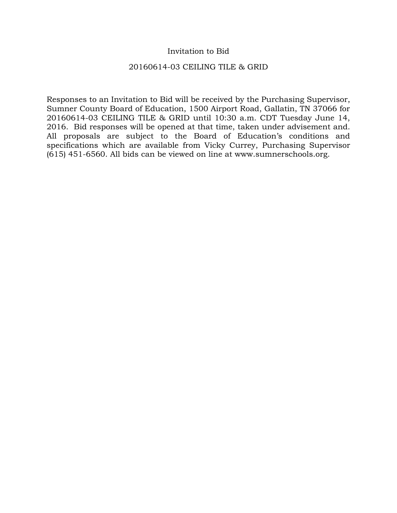## Invitation to Bid

### 20160614-03 CEILING TILE & GRID

Responses to an Invitation to Bid will be received by the Purchasing Supervisor, Sumner County Board of Education, 1500 Airport Road, Gallatin, TN 37066 for 20160614-03 CEILING TILE & GRID until 10:30 a.m. CDT Tuesday June 14, 2016. Bid responses will be opened at that time, taken under advisement and. All proposals are subject to the Board of Education's conditions and specifications which are available from Vicky Currey, Purchasing Supervisor (615) 451-6560. All bids can be viewed on line at www.sumnerschools.org.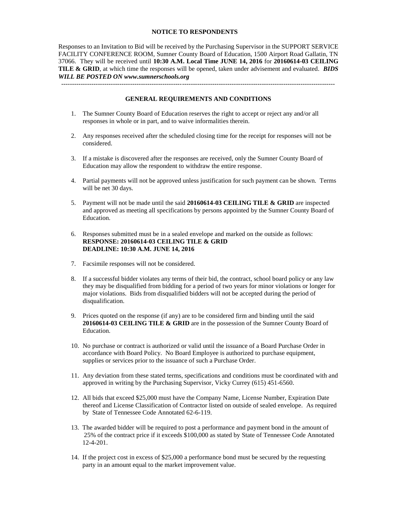#### **NOTICE TO RESPONDENTS**

Responses to an Invitation to Bid will be received by the Purchasing Supervisor in the SUPPORT SERVICE FACILITY CONFERENCE ROOM, Sumner County Board of Education, 1500 Airport Road Gallatin, TN 37066. They will be received until **10:30 A.M. Local Time JUNE 14, 2016** for **20160614-03 CEILING TILE & GRID**, at which time the responses will be opened, taken under advisement and evaluated. *BIDS WILL BE POSTED ON www.sumnerschools.org* 

**GENERAL REQUIREMENTS AND CONDITIONS** 

-------------------------------------------------------------------------------------------------------------------------------

- 1. The Sumner County Board of Education reserves the right to accept or reject any and/or all responses in whole or in part, and to waive informalities therein.
- 2. Any responses received after the scheduled closing time for the receipt for responses will not be considered.
- 3. If a mistake is discovered after the responses are received, only the Sumner County Board of Education may allow the respondent to withdraw the entire response.
- 4. Partial payments will not be approved unless justification for such payment can be shown. Terms will be net 30 days.
- 5. Payment will not be made until the said **20160614-03 CEILING TILE & GRID** are inspected and approved as meeting all specifications by persons appointed by the Sumner County Board of Education.
- 6. Responses submitted must be in a sealed envelope and marked on the outside as follows: **RESPONSE: 20160614-03 CEILING TILE & GRID DEADLINE: 10:30 A.M. JUNE 14, 2016**
- 7. Facsimile responses will not be considered.
- 8. If a successful bidder violates any terms of their bid, the contract, school board policy or any law they may be disqualified from bidding for a period of two years for minor violations or longer for major violations. Bids from disqualified bidders will not be accepted during the period of disqualification.
- 9. Prices quoted on the response (if any) are to be considered firm and binding until the said **20160614-03 CEILING TILE & GRID** are in the possession of the Sumner County Board of Education.
- 10. No purchase or contract is authorized or valid until the issuance of a Board Purchase Order in accordance with Board Policy. No Board Employee is authorized to purchase equipment, supplies or services prior to the issuance of such a Purchase Order.
- 11. Any deviation from these stated terms, specifications and conditions must be coordinated with and approved in writing by the Purchasing Supervisor, Vicky Currey (615) 451-6560.
- 12. All bids that exceed \$25,000 must have the Company Name, License Number, Expiration Date thereof and License Classification of Contractor listed on outside of sealed envelope. As required by State of Tennessee Code Annotated 62-6-119.
- 13. The awarded bidder will be required to post a performance and payment bond in the amount of 25% of the contract price if it exceeds \$100,000 as stated by State of Tennessee Code Annotated 12-4-201.
- 14. If the project cost in excess of \$25,000 a performance bond must be secured by the requesting party in an amount equal to the market improvement value.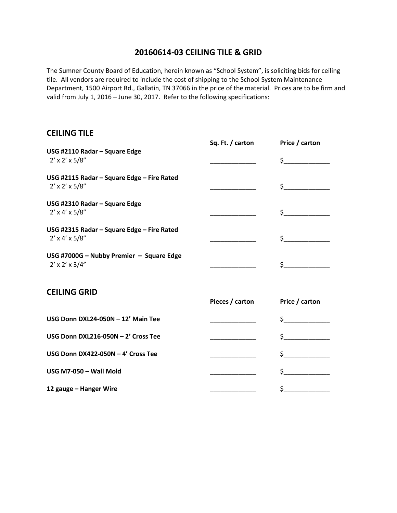## **20160614-03 CEILING TILE & GRID**

The Sumner County Board of Education, herein known as "School System", is soliciting bids for ceiling tile. All vendors are required to include the cost of shipping to the School System Maintenance Department, 1500 Airport Rd., Gallatin, TN 37066 in the price of the material. Prices are to be firm and valid from July 1, 2016 – June 30, 2017. Refer to the following specifications:

# **CEILING TILE**

|                                                                           | Sq. Ft. / carton | Price / carton                     |
|---------------------------------------------------------------------------|------------------|------------------------------------|
| USG #2110 Radar - Square Edge<br>$2' \times 2' \times 5/8''$              |                  | $\begin{array}{c} \xi \end{array}$ |
| USG #2115 Radar - Square Edge - Fire Rated<br>$2' \times 2' \times 5/8''$ |                  | $\zeta$                            |
| USG #2310 Radar - Square Edge<br>$2' \times 4' \times 5/8''$              |                  | $\sharp$                           |
| USG #2315 Radar - Square Edge - Fire Rated<br>$2' \times 4' \times 5/8''$ |                  | $\zeta$                            |
| USG #7000G - Nubby Premier - Square Edge<br>$2' \times 2' \times 3/4''$   |                  | $\zeta$                            |
| <b>CEILING GRID</b>                                                       | Pieces / carton  | Price / carton                     |
| USG Donn DXL24-050N - 12' Main Tee                                        |                  | $\zeta$                            |
| USG Donn DXL216-050N - 2' Cross Tee                                       |                  | $\zeta$                            |
| USG Donn DX422-050N - 4' Cross Tee                                        |                  | $\zeta$                            |
| USG M7-050 - Wall Mold                                                    |                  | $\sharp$                           |
| 12 gauge - Hanger Wire                                                    |                  | \$                                 |